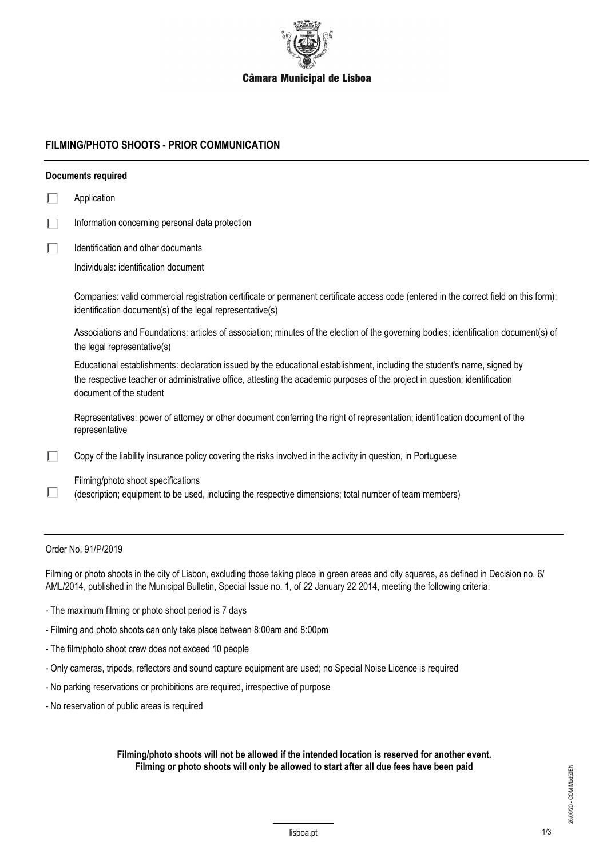

## **FILMING/PHOTO SHOOTS - PRIOR COMMUNICATION**

|   | Documents required                                                                                                                                                                                                                                                                 |
|---|------------------------------------------------------------------------------------------------------------------------------------------------------------------------------------------------------------------------------------------------------------------------------------|
|   | Application                                                                                                                                                                                                                                                                        |
| Г | Information concerning personal data protection                                                                                                                                                                                                                                    |
|   | Identification and other documents                                                                                                                                                                                                                                                 |
|   | Individuals: identification document                                                                                                                                                                                                                                               |
|   | Companies: valid commercial registration certificate or permanent certificate access code (entered in the correct field on this form);<br>identification document(s) of the legal representative(s)                                                                                |
|   | Associations and Foundations: articles of association; minutes of the election of the governing bodies; identification document(s) of<br>the legal representative(s)                                                                                                               |
|   | Educational establishments: declaration issued by the educational establishment, including the student's name, signed by<br>the respective teacher or administrative office, attesting the academic purposes of the project in question; identification<br>document of the student |
|   | Representatives: power of attorney or other document conferring the right of representation; identification document of the<br>representative                                                                                                                                      |
|   | Copy of the liability insurance policy covering the risks involved in the activity in question, in Portuguese                                                                                                                                                                      |
|   | Filming/photo shoot specifications<br>(description; equipment to be used, including the respective dimensions; total number of team members)                                                                                                                                       |
|   |                                                                                                                                                                                                                                                                                    |

## Order No. 91/P/2019

Filming or photo shoots in the city of Lisbon, excluding those taking place in green areas and city squares, as defined in Decision no. 6/ AML/2014, published in the Municipal Bulletin, Special Issue no. 1, of 22 January 22 2014, meeting the following criteria:

- The maximum filming or photo shoot period is 7 days
- Filming and photo shoots can only take place between 8:00am and 8:00pm
- The film/photo shoot crew does not exceed 10 people
- Only cameras, tripods, reflectors and sound capture equipment are used; no Special Noise Licence is required
- No parking reservations or prohibitions are required, irrespective of purpose
- No reservation of public areas is required

**Filming/photo shoots will not be allowed if the intended location is reserved for another event. Filming or photo shoots will only be allowed to start after all due fees have been paid**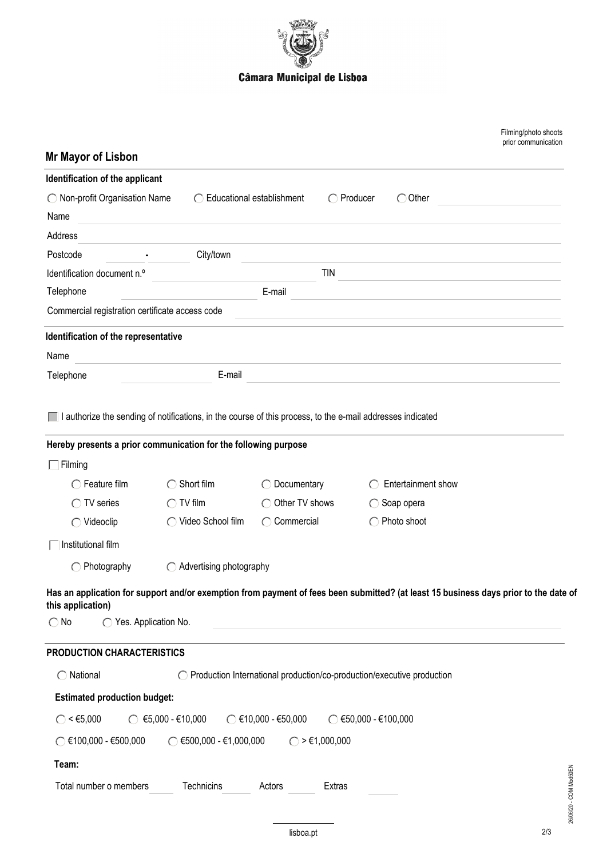

| <b>Mr Mayor of Lisbon</b>                                                                                                                                 |                                              |                                                                          |                            |                    | Filming/photo shoots<br>prior communication |  |
|-----------------------------------------------------------------------------------------------------------------------------------------------------------|----------------------------------------------|--------------------------------------------------------------------------|----------------------------|--------------------|---------------------------------------------|--|
| Identification of the applicant                                                                                                                           |                                              |                                                                          |                            |                    |                                             |  |
| ◯ Non-profit Organisation Name                                                                                                                            | ◯ Educational establishment                  |                                                                          | $\bigcirc$ Producer        | $\bigcirc$ Other   |                                             |  |
| Name                                                                                                                                                      |                                              |                                                                          |                            |                    |                                             |  |
| Address                                                                                                                                                   |                                              |                                                                          |                            |                    |                                             |  |
| Postcode                                                                                                                                                  | City/town                                    |                                                                          |                            |                    |                                             |  |
| Identification document n.º                                                                                                                               |                                              | <b>TIN</b>                                                               |                            |                    |                                             |  |
| Telephone                                                                                                                                                 |                                              | E-mail                                                                   |                            |                    |                                             |  |
| Commercial registration certificate access code                                                                                                           |                                              |                                                                          |                            |                    |                                             |  |
| Identification of the representative                                                                                                                      |                                              |                                                                          |                            |                    |                                             |  |
| Name                                                                                                                                                      |                                              |                                                                          |                            |                    |                                             |  |
| Telephone                                                                                                                                                 | E-mail                                       |                                                                          |                            |                    |                                             |  |
| Hereby presents a prior communication for the following purpose                                                                                           |                                              |                                                                          |                            |                    |                                             |  |
| $\overline{\phantom{a}}$ Filming                                                                                                                          |                                              |                                                                          |                            |                    |                                             |  |
| $\bigcirc$ Feature film                                                                                                                                   | Short film                                   | Documentary                                                              |                            | Entertainment show |                                             |  |
| $\bigcirc$ TV series                                                                                                                                      | $\bigcirc$ TV film                           | Other TV shows                                                           | $\bigcirc$ Soap opera      |                    |                                             |  |
| $\bigcirc$ Videoclip                                                                                                                                      | Video School film                            | ◯ Commercial                                                             | ◯ Photo shoot              |                    |                                             |  |
| Institutional film                                                                                                                                        |                                              |                                                                          |                            |                    |                                             |  |
| $\bigcirc$ Photography                                                                                                                                    | Advertising photography                      |                                                                          |                            |                    |                                             |  |
| Has an application for support and/or exemption from payment of fees been submitted? (at least 15 business days prior to the date of<br>this application) |                                              |                                                                          |                            |                    |                                             |  |
| $\bigcirc$ No<br>◯ Yes. Application No.                                                                                                                   |                                              |                                                                          |                            |                    |                                             |  |
| PRODUCTION CHARACTERISTICS                                                                                                                                |                                              |                                                                          |                            |                    |                                             |  |
| $\bigcirc$ National                                                                                                                                       |                                              | ◯ Production International production/co-production/executive production |                            |                    |                                             |  |
| <b>Estimated production budget:</b>                                                                                                                       |                                              |                                                                          |                            |                    |                                             |  |
| $\bigcirc$ < $\epsilon$ 5,000                                                                                                                             | $\circ$ $\epsilon$ 5,000 - $\epsilon$ 10,000 | $\circ$ €10,000 - €50,000                                                | $\circ$ €50,000 - €100,000 |                    |                                             |  |
| $\circ$ €100,000 - €500,000                                                                                                                               | $\circ$ €500,000 - €1,000,000                | $\bigcirc$ > €1,000,000                                                  |                            |                    |                                             |  |
| Team:                                                                                                                                                     |                                              |                                                                          |                            |                    |                                             |  |
| Total number o members                                                                                                                                    | Technicins                                   | Actors<br>Extras                                                         |                            |                    | 26/06/20 - COM Mod50EN                      |  |
|                                                                                                                                                           |                                              |                                                                          |                            |                    |                                             |  |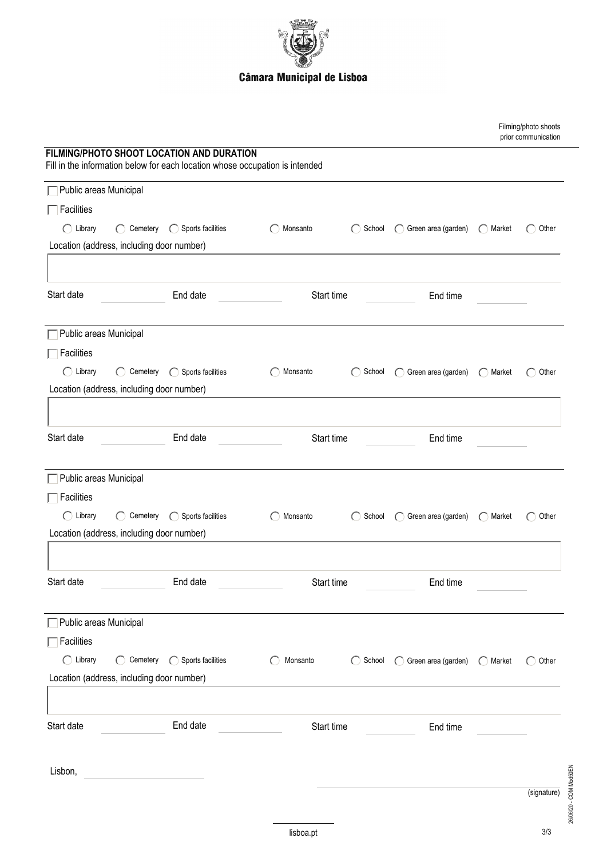

|                        |                                                           |                                                                                                                           |            |                                                         |                                 |                                                         | Filming/photo shoots<br>prior communication |  |
|------------------------|-----------------------------------------------------------|---------------------------------------------------------------------------------------------------------------------------|------------|---------------------------------------------------------|---------------------------------|---------------------------------------------------------|---------------------------------------------|--|
|                        |                                                           | FILMING/PHOTO SHOOT LOCATION AND DURATION<br>Fill in the information below for each location whose occupation is intended |            |                                                         |                                 |                                                         |                                             |  |
| Public areas Municipal |                                                           |                                                                                                                           |            |                                                         |                                 |                                                         |                                             |  |
| Facilities             |                                                           |                                                                                                                           |            |                                                         |                                 |                                                         |                                             |  |
| $\bigcap$ Library      | $(\ )$                                                    | Cemetery <b>C</b> Sports facilities                                                                                       | Monsanto   | School<br>$\left($                                      | Green area (garden)<br>$\left($ | Market<br>$\left( \begin{array}{c} \end{array} \right)$ | Other                                       |  |
|                        | Location (address, including door number)                 |                                                                                                                           |            |                                                         |                                 |                                                         |                                             |  |
|                        |                                                           |                                                                                                                           |            |                                                         |                                 |                                                         |                                             |  |
| Start date             |                                                           | End date                                                                                                                  |            | Start time                                              | End time                        |                                                         |                                             |  |
| Public areas Municipal |                                                           |                                                                                                                           |            |                                                         |                                 |                                                         |                                             |  |
| Facilities             |                                                           |                                                                                                                           |            |                                                         |                                 |                                                         |                                             |  |
| $\bigcap$ Library      |                                                           | $\bigcirc$ Cemetery $\bigcirc$ Sports facilities                                                                          | Monsanto   | School<br>$\left( \begin{array}{c} \end{array} \right)$ | Green area (garden)<br>$\left($ | Market<br>$\left( \quad \right)$                        | Other                                       |  |
|                        | Location (address, including door number)                 |                                                                                                                           |            |                                                         |                                 |                                                         |                                             |  |
|                        |                                                           |                                                                                                                           |            |                                                         |                                 |                                                         |                                             |  |
| Start date             |                                                           | End date                                                                                                                  | Start time |                                                         | End time                        |                                                         |                                             |  |
|                        |                                                           |                                                                                                                           |            |                                                         |                                 |                                                         |                                             |  |
| Public areas Municipal |                                                           |                                                                                                                           |            |                                                         |                                 |                                                         |                                             |  |
| Facilities             |                                                           |                                                                                                                           |            |                                                         |                                 |                                                         |                                             |  |
| $\bigcirc$ Library     | Cemetery<br>$\left( \begin{array}{c} \end{array} \right)$ | ◯ Sports facilities                                                                                                       | Monsanto   | School                                                  | Green area (garden)<br>C)       | Market<br>$(\ )$                                        | Other                                       |  |
|                        | Location (address, including door number)                 |                                                                                                                           |            |                                                         |                                 |                                                         |                                             |  |
|                        |                                                           |                                                                                                                           |            |                                                         |                                 |                                                         |                                             |  |
| Start date             |                                                           | End date                                                                                                                  | Start time |                                                         | End time                        |                                                         |                                             |  |
|                        |                                                           |                                                                                                                           |            |                                                         |                                 |                                                         |                                             |  |
| Public areas Municipal |                                                           |                                                                                                                           |            |                                                         |                                 |                                                         |                                             |  |
| Facilities             |                                                           |                                                                                                                           |            |                                                         |                                 |                                                         |                                             |  |
| $\bigcap$ Library      |                                                           | ◯ Cemetery ◯ Sports facilities                                                                                            | Monsanto   | $\bigcirc$ School                                       | ◯ Green area (garden)           | $\bigcirc$ Market                                       | $\bigcirc$ Other                            |  |
|                        | Location (address, including door number)                 |                                                                                                                           |            |                                                         |                                 |                                                         |                                             |  |
|                        |                                                           |                                                                                                                           |            |                                                         |                                 |                                                         |                                             |  |
| Start date             |                                                           | End date                                                                                                                  |            | Start time                                              | End time                        |                                                         |                                             |  |
| Lisbon,                |                                                           |                                                                                                                           |            |                                                         |                                 |                                                         |                                             |  |
|                        |                                                           |                                                                                                                           |            |                                                         |                                 |                                                         | 26/06/20 - COM Mod50EN<br>(signature)       |  |
|                        |                                                           |                                                                                                                           |            |                                                         |                                 |                                                         |                                             |  |